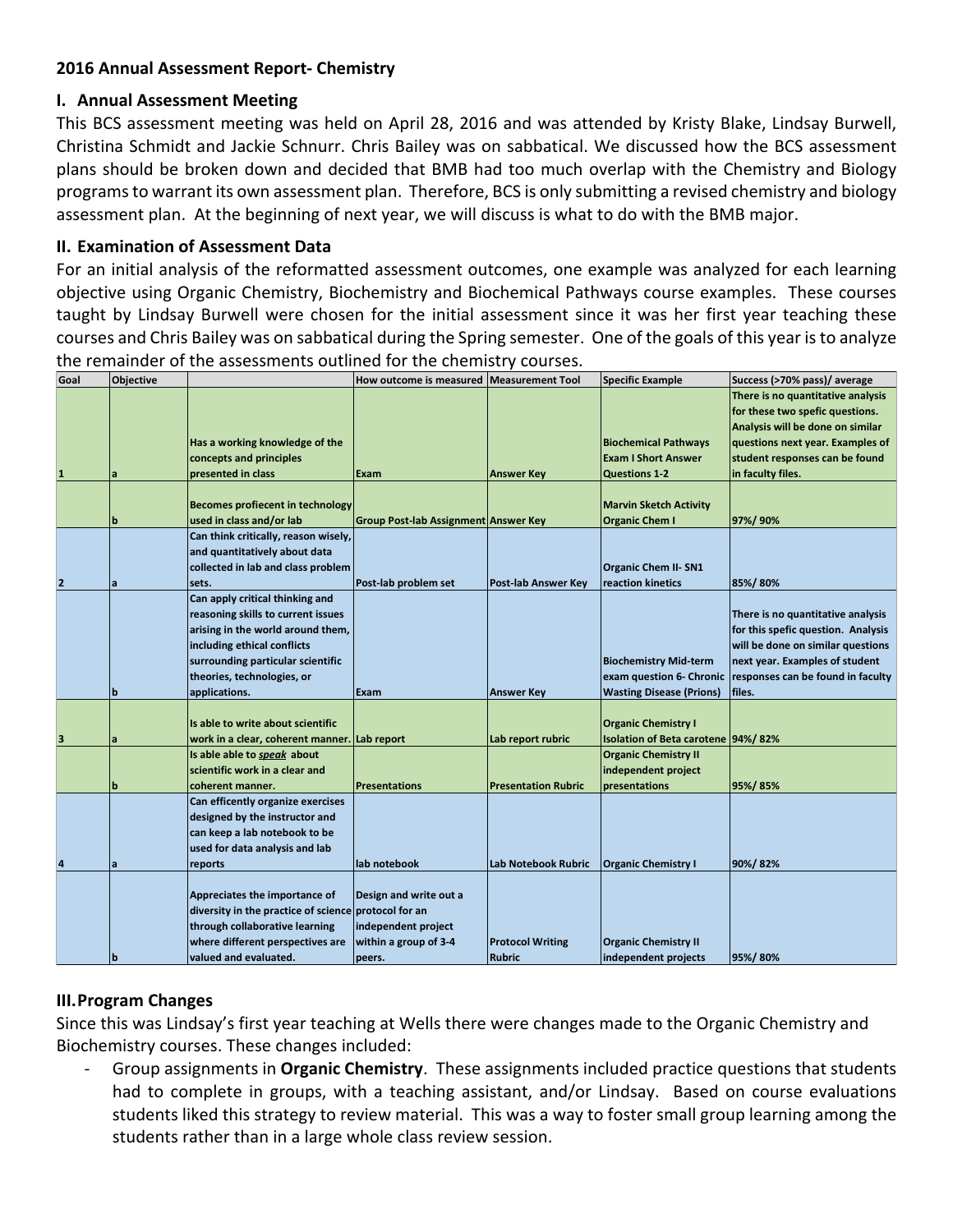## **2016 Annual Assessment Report- Chemistry**

### **I. Annual Assessment Meeting**

This BCS assessment meeting was held on April 28, 2016 and was attended by Kristy Blake, Lindsay Burwell, Christina Schmidt and Jackie Schnurr. Chris Bailey was on sabbatical. We discussed how the BCS assessment plans should be broken down and decided that BMB had too much overlap with the Chemistry and Biology programs to warrant its own assessment plan. Therefore, BCS is only submitting a revised chemistry and biology assessment plan. At the beginning of next year, we will discuss is what to do with the BMB major.

### **II. Examination of Assessment Data**

For an initial analysis of the reformatted assessment outcomes, one example was analyzed for each learning objective using Organic Chemistry, Biochemistry and Biochemical Pathways course examples. These courses taught by Lindsay Burwell were chosen for the initial assessment since it was her first year teaching these courses and Chris Bailey was on sabbatical during the Spring semester. One of the goals of this year is to analyze the remainder of the assessments outlined for the chemistry courses.

| Goal                    | <b>Objective</b> |                                                      | How outcome is measured Measurement Tool |                            | <b>Specific Example</b>            | Success (>70% pass)/ average       |
|-------------------------|------------------|------------------------------------------------------|------------------------------------------|----------------------------|------------------------------------|------------------------------------|
|                         |                  |                                                      |                                          |                            |                                    | There is no quantitative analysis  |
|                         |                  |                                                      |                                          |                            |                                    | for these two spefic questions.    |
|                         |                  |                                                      |                                          |                            |                                    | Analysis will be done on similar   |
|                         |                  | Has a working knowledge of the                       |                                          |                            | <b>Biochemical Pathways</b>        | questions next year. Examples of   |
|                         |                  | concepts and principles                              |                                          |                            | <b>Exam I Short Answer</b>         | student responses can be found     |
| $\mathbf{1}$            |                  | presented in class                                   | Exam                                     | <b>Answer Key</b>          | <b>Questions 1-2</b>               | in faculty files.                  |
|                         |                  |                                                      |                                          |                            |                                    |                                    |
|                         |                  | <b>Becomes profiecent in technology</b>              |                                          |                            | <b>Marvin Sketch Activity</b>      |                                    |
|                         | b                | used in class and/or lab                             | Group Post-lab Assignment Answer Key     |                            | <b>Organic Chem I</b>              | 97%/90%                            |
|                         |                  | Can think critically, reason wisely,                 |                                          |                            |                                    |                                    |
|                         |                  | and quantitatively about data                        |                                          |                            |                                    |                                    |
|                         |                  | collected in lab and class problem                   |                                          |                            | <b>Organic Chem II- SN1</b>        |                                    |
| $\overline{2}$          | la               | sets.                                                | Post-lab problem set                     | <b>Post-lab Answer Key</b> | reaction kinetics                  | 85%/80%                            |
|                         |                  | Can apply critical thinking and                      |                                          |                            |                                    |                                    |
|                         |                  | reasoning skills to current issues                   |                                          |                            |                                    | There is no quantitative analysis  |
|                         |                  | arising in the world around them,                    |                                          |                            |                                    | for this spefic question. Analysis |
|                         |                  | including ethical conflicts                          |                                          |                            |                                    | will be done on similar questions  |
|                         |                  | surrounding particular scientific                    |                                          |                            | <b>Biochemistry Mid-term</b>       | next year. Examples of student     |
|                         |                  | theories, technologies, or                           |                                          |                            | exam question 6- Chronic           | responses can be found in faculty  |
|                         | IЬ               | applications.                                        | Exam                                     | <b>Answer Key</b>          | <b>Wasting Disease (Prions)</b>    | files.                             |
|                         |                  |                                                      |                                          |                            |                                    |                                    |
|                         |                  | Is able to write about scientific                    |                                          |                            | <b>Organic Chemistry I</b>         |                                    |
| $\overline{\mathbf{3}}$ | a                | work in a clear, coherent manner. Lab report         |                                          | Lab report rubric          | Isolation of Beta carotene 94%/82% |                                    |
|                         |                  | Is able able to speak about                          |                                          |                            | <b>Organic Chemistry II</b>        |                                    |
|                         |                  | scientific work in a clear and                       |                                          |                            | independent project                |                                    |
|                         | b                | coherent manner.                                     | <b>Presentations</b>                     | <b>Presentation Rubric</b> | presentations                      | 95%/85%                            |
|                         |                  | Can efficently organize exercises                    |                                          |                            |                                    |                                    |
|                         |                  | designed by the instructor and                       |                                          |                            |                                    |                                    |
|                         |                  | can keep a lab notebook to be                        |                                          |                            |                                    |                                    |
|                         |                  | used for data analysis and lab                       |                                          |                            |                                    |                                    |
| $\overline{a}$          | a                | reports                                              | lab notebook                             | Lab Notebook Rubric        | <b>Organic Chemistry I</b>         | 90%/82%                            |
|                         |                  |                                                      |                                          |                            |                                    |                                    |
|                         |                  | Appreciates the importance of                        | Design and write out a                   |                            |                                    |                                    |
|                         |                  | diversity in the practice of science protocol for an |                                          |                            |                                    |                                    |
|                         |                  | through collaborative learning                       | independent project                      |                            |                                    |                                    |
|                         |                  | where different perspectives are                     | within a group of 3-4                    | <b>Protocol Writing</b>    | <b>Organic Chemistry II</b>        |                                    |
|                         | ١b               | valued and evaluated.                                | peers.                                   | Rubric                     | independent projects               | 95%/80%                            |

## **III.Program Changes**

Since this was Lindsay's first year teaching at Wells there were changes made to the Organic Chemistry and Biochemistry courses. These changes included:

Group assignments in Organic Chemistry. These assignments included practice questions that students had to complete in groups, with a teaching assistant, and/or Lindsay. Based on course evaluations students liked this strategy to review material. This was a way to foster small group learning among the students rather than in a large whole class review session.